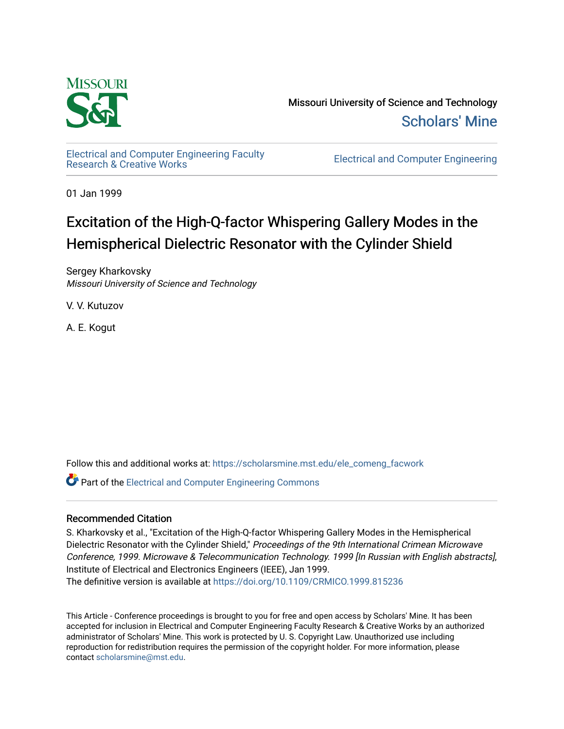

Missouri University of Science and Technology [Scholars' Mine](https://scholarsmine.mst.edu/) 

[Electrical and Computer Engineering Faculty](https://scholarsmine.mst.edu/ele_comeng_facwork)

**Electrical and Computer Engineering** 

01 Jan 1999

# Excitation of the High-Q-factor Whispering Gallery Modes in the Hemispherical Dielectric Resonator with the Cylinder Shield

Sergey Kharkovsky Missouri University of Science and Technology

V. V. Kutuzov

A. E. Kogut

Follow this and additional works at: [https://scholarsmine.mst.edu/ele\\_comeng\\_facwork](https://scholarsmine.mst.edu/ele_comeng_facwork?utm_source=scholarsmine.mst.edu%2Fele_comeng_facwork%2F1610&utm_medium=PDF&utm_campaign=PDFCoverPages)

**P** Part of the Electrical and Computer Engineering Commons

### Recommended Citation

S. Kharkovsky et al., "Excitation of the High-Q-factor Whispering Gallery Modes in the Hemispherical Dielectric Resonator with the Cylinder Shield," Proceedings of the 9th International Crimean Microwave Conference, 1999. Microwave & Telecommunication Technology. 1999 [In Russian with English abstracts], Institute of Electrical and Electronics Engineers (IEEE), Jan 1999.

The definitive version is available at <https://doi.org/10.1109/CRMICO.1999.815236>

This Article - Conference proceedings is brought to you for free and open access by Scholars' Mine. It has been accepted for inclusion in Electrical and Computer Engineering Faculty Research & Creative Works by an authorized administrator of Scholars' Mine. This work is protected by U. S. Copyright Law. Unauthorized use including reproduction for redistribution requires the permission of the copyright holder. For more information, please contact [scholarsmine@mst.edu](mailto:scholarsmine@mst.edu).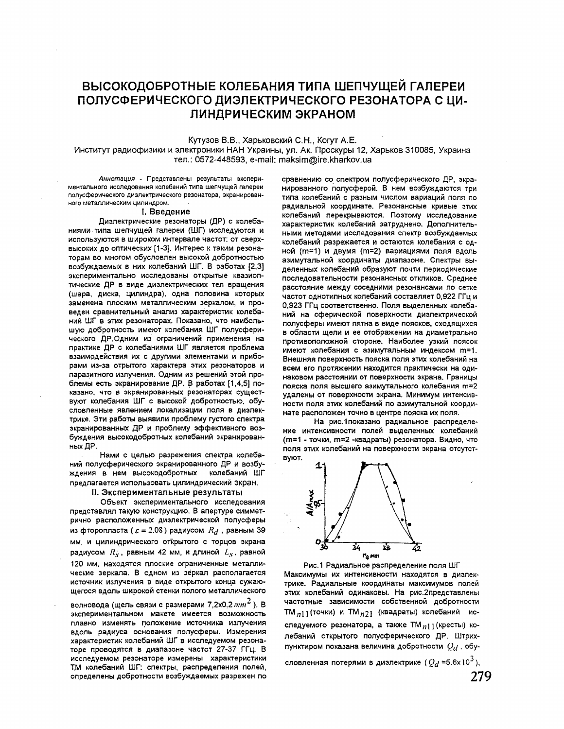## ВЫСОКОДОБРОТНЫЕ КОЛЕБАНИЯ ТИПА ШЕПЧУЩЕЙ ГАЛЕРЕИ ПОЛУСФЕРИЧЕСКОГО ДИЭЛЕКТРИЧЕСКОГО РЕЗОНАТОРА С ЦИ-ЛИНДРИЧЕСКИМ ЭКРАНОМ

Кутузов В.В., Харьковский С.Н., Когут А.Е.

Институт радиофизики и электроники НАН Украины, ул. Ак. Проскуры 12, Харьков 310085, Украина тел.: 0572-448593, e-mail: maksim@ire.kharkov.ua

Аннотация - Представлены результаты экспериментального исследования колебаний типа шепчущей галереи полусферического диэлектрического резонатора, экранированного металлическим цилиндром.

#### 1. Введение

Дизлектрические резонаторы (ДР) с колебаниями типа шепчущей галереи (ШГ) исследуются и используются в широком интервале частот: от сверхвысоких до оптических [1-3]. Интерес к таким резонаторам во многом обусловлен высокой добротностью возбуждаемых в них колебаний ШГ. В работах [2,3] экспериментально исследованы открытые квазиоптические ДР в виде дизлектрических тел вращения (шара, диска, цилиндра), одна половина которых заменена плоским металлическим зеркалом, и проведен сравнительный анализ характеристик колебаний ШГ в этих резонаторах. Показано, что наибольшую добротность имеют колебания ШГ полусферического ДР.Одним из ограничений применения на практике ДР с колебаниями ШГ является проблема взаимодействия их с другими элементами и приборами из-за отрытого характера этих резонаторов и паразитного излучения. Одним из решений этой проблемы есть экранирование ДР. В работах [1,4,5] показано, что в экранированных резонаторах существуют колебания ШГ с высокой добротностью, обусловленные явлением локализации поля в диэлектрике. Эти работы выявили проблему густого спектра экранированных ДР и проблему эффективного возбуждения высокодобротных колебаний экранированных ДР.

Нами с целью разрежения спектра колебаний полусферического экранированного ДР и возбуждения в нем высокодобротных колебаний ШГ предлагается использовать цилиндрический экран.

II. Экспериментальные результаты

Объект экспериментального исследования представлял такую конструкцию. В апертуре симметрично расположенных дизлектрической полусферы из фторопласта ( $\varepsilon = 2.08$ ) радиусом  $R_d$ , равным 39 мм, и цилиндрического открытого с торцов экрана радиусом  $R'_{S}$ , равным 42 мм, и длиной  $L_{S}$ , равной 120 мм, находятся плоские ограниченные металлические зеркала. В одном из зеркал располагается источник излучения в виде открытого конца сужающегося вдоль широкой стенки полого металлического

волновода (щель связи с размерами 7,2х0,2  $mm^2$ ). В экспериментальном макете имеется возможность плавно изменять положение источника излучения вдоль радиуса основания полусферы. Измерения характеристик колебаний ШГ в исследуемом резонаторе проводятся в диапазоне частот 27-37 ГГц. В исследуемом резонаторе измерены характеристики ТМ колебаний ШГ: спектры, распределения полей, определены добротности возбуждаемых разрежен по

сравнению со спектром полусферического ДР, экранированного полусферой. В нем возбуждаются три типа колебаний с разным числом вариаций поля по радиальной координате. Резонансные кривые этих колебаний перекрываются. Поэтому исследование характеристик колебаний затруднено. Дополнительными методами исследования спектр возбуждаемых колебаний разрежается и остаются колебания с одной (m=1) и двумя (m=2) вариациями поля вдоль азимутальной координаты диапазоне. Спектры выделенных колебаний образуют почти периодические последовательности резонансных откликов. Среднее расстояние между соседними резонансами по сетке частот однотипных колебаний составляет 0,922 ГГц и 0,923 ГГц соответственно. Поля выделенных колебаний на сферической поверхности дизлектрической полусферы имеют пятна в виде поясков, сходящихся в области щели и ее отображении на диаметрально противоположной стороне. Наиболее узкий поясок имеют колебания с азимутальным индексом m=1. Внешняя поверхность пояска поля этих колебаний на всем его протяжении находится практически на одинаковом расстоянии от поверхности экрана. Границы пояска поля высшего азимутального колебания m=2 удалены от поверхности экрана. Минимум интенсивности поля этих колебаний по азимутальной координате расположен точно в центре пояска их поля.

На рис. 1 показано радиальное распределение интенсивности полей выделенных колебаний (m=1 - точки, m=2 -квадраты) резонатора. Видно, что поля этих колебаний на поверхности экрана отсутствуют.



Рис.1 Радиальное распределение поля ШГ Максимумы их интенсивности находятся в дизлектрике. Радиальные координаты максимумов полей этих колебаний одинаковы. На рис. 2представлены частотные зависимости собственной добротности ТМ<sub>1111</sub> (точки) и ТМ<sub>121</sub> (квадраты) колебаний исследуемого резонатора, а также ТМ<sub>п11</sub> (кресты) колебаний открытого полусферического ДР. Штрихпунктиром показана величина добротности  $Q_d$ , обу-

словленная потерями в диэлектрике ( $Q_d$ =5.6x10<sup>3</sup>),